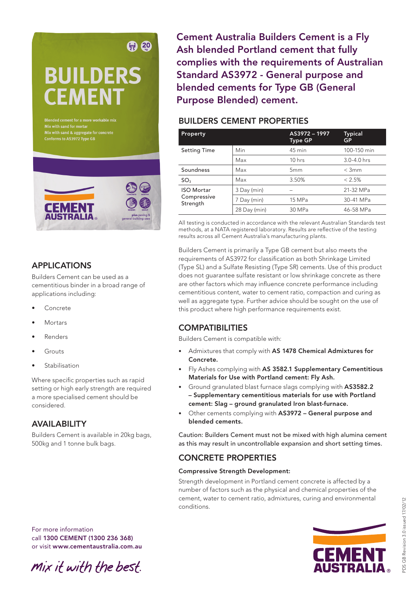# **BUILDERS CEMENT**

(只) 20

Blended cement for a more workable mix<br>Mix with sand for mortar<br>Mix with sand & aggregate for concrete



# APPLICATIONS

Builders Cement can be used as a cementitious binder in a broad range of applications including:

- **Concrete**
- Mortars
- **Renders**
- Grouts
- **Stabilisation**

Where specific properties such as rapid setting or high early strength are required a more specialised cement should be considered.

## AVAILABILITY

Builders Cement is available in 20kg bags, 500kg and 1 tonne bulk bags.

Cement Australia Builders Cement is a Fly Ash blended Portland cement that fully complies with the requirements of Australian Standard AS3972 - General purpose and blended cements for Type GB (General Purpose Blended) cement.

## BUILDERS CEMENT PROPERTIES

| Property                                     |              | AS3972-1997<br><b>Type GP</b> | <b>Typical</b><br><b>GP</b> |
|----------------------------------------------|--------------|-------------------------------|-----------------------------|
| <b>Setting Time</b>                          | Min          | 45 min                        | 100-150 min                 |
|                                              | Max          | $10$ hrs                      | 3.0-4.0 hrs                 |
| Soundness                                    | Max          | 5mm                           | $<$ 3mm                     |
| SO <sub>3</sub>                              | Max          | 3.50%                         | $< 2.5\%$                   |
| <b>ISO Mortar</b><br>Compressive<br>Strength | 3 Day (min)  |                               | 21-32 MPa                   |
|                                              | 7 Day (min)  | 15 MPa                        | 30-41 MPa                   |
|                                              | 28 Day (min) | 30 MPa                        | 46-58 MPa                   |

All testing is conducted in accordance with the relevant Australian Standards test methods, at a NATA registered laboratory. Results are reflective of the testing results across all Cement Australia's manufacturing plants.

Builders Cement is primarily a Type GB cement but also meets the requirements of AS3972 for classification as both Shrinkage Limited (Type SL) and a Sulfate Resisting (Type SR) cements. Use of this product does not guarantee sulfate resistant or low shrinkage concrete as there are other factors which may influence concrete performance including cementitious content, water to cement ratio, compaction and curing as well as aggregate type. Further advice should be sought on the use of this product where high performance requirements exist.

# **COMPATIBILITIES**

Builders Cement is compatible with:

- Admixtures that comply with AS 1478 Chemical Admixtures for Concrete.
- Fly Ashes complying with AS 3582.1 Supplementary Cementitious Materials for Use with Portland cement: Fly Ash.
- Ground granulated blast furnace slags complying with AS3582.2 – Supplementary cementitious materials for use with Portland cement: Slag – ground granulated Iron blast-furnace.
- Other cements complying with AS3972 General purpose and blended cements.

Caution: Builders Cement must not be mixed with high alumina cement as this may result in uncontrollable expansion and short setting times.

# CONCRETE PROPERTIES

## Compressive Strength Development:

Strength development in Portland cement concrete is affected by a number of factors such as the physical and chemical properties of the cement, water to cement ratio, admixtures, curing and environmental conditions.

For more information call 1300 CEMENT (1300 236 368) or visit www.cementaustralia.com.au